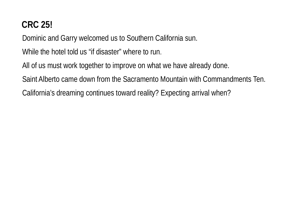# **CRC 25!**

Dominic and Garry welcomed us to Southern California sun.

While the hotel told us "if disaster" where to run.

All of us must work together to improve on what we have already done.

Saint Alberto came down from the Sacramento Mountain with Commandments Ten.

California's dreaming continues toward reality? Expecting arrival when?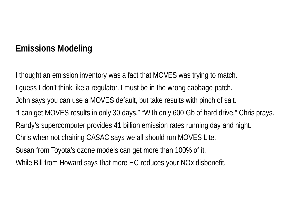# **Emissions Modeling**

I guess I don't think like a regulator. I must be in the wrong cabbage patch. John says you can use a MOVES default, but take results with pinch of salt. "I can get MOVES results in only 30 days." "With only 600 Gb of hard drive," Chris prays. Randy's supercomputer provides 41 billion emission rates running day and night. Chris when not chairing CASAC says we all should run MOVES Lite. Susan from Toyota's ozone models can get more than 100% of it. I thought an emission inventory was a fact that MOVES was trying to match. While Bill from Howard says that more HC reduces your NOx disbenefit.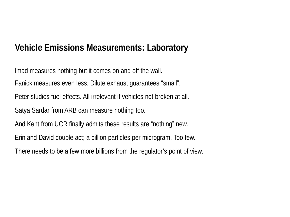## **Vehicle Emissions Measurements: Laboratory**

Imad measures nothing but it comes on and off the wall. Fanick measures even less. Dilute exhaust guarantees "small". Peter studies fuel effects. All irrelevant if vehicles not broken at all. Satya Sardar from ARB can measure nothing too. And Kent from UCR finally admits these results are "nothing" new. Erin and David double act; a billion particles per microgram. Too few. There needs to be a few more billions from the regulator's point of view.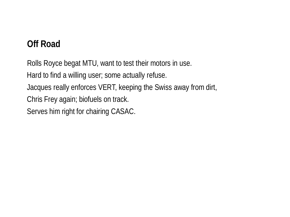# **Off Road**

Rolls Royce begat MTU, want to test their motors in use. Hard to find a willing user; some actually refuse. Jacques really enforces VERT, keeping the Swiss away from dirt, Chris Frey again; biofuels on track. Serves him right for chairing CASAC.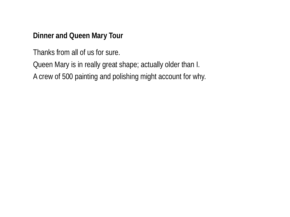#### **Dinner and Queen Mary Tour**

Thanks from all of us for sure.

Queen Mary is in really great shape; actually older than I.

A crew of 500 painting and polishing might account for why.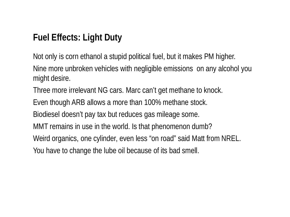# **Fuel Effects: Light Duty**

Not only is corn ethanol a stupid political fuel, but it makes PM higher. Nine more unbroken vehicles with negligible emissions on any alcohol you might desire.

Three more irrelevant NG cars. Marc can't get methane to knock.

Even though ARB allows a more than 100% methane stock.

Biodiesel doesn't pay tax but reduces gas mileage some.

MMT remains in use in the world. Is that phenomenon dumb?

Weird organics, one cylinder, even less "on road" said Matt from NREL.

You have to change the lube oil because of its bad smell.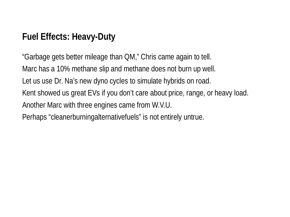# **Fuel Effects: Heavy-Duty**

"Garbage gets better mileage than QM," Chris came again to tell. Marc has a 10% methane slip and methane does not burn up well. Let us use Dr. Na's new dyno cycles to simulate hybrids on road. Kent showed us great EVs if you don't care about price, range, or heavy load. Another Marc with three engines came from W.V.U. Perhaps "cleanerburningalternativefuels" is not entirely untrue.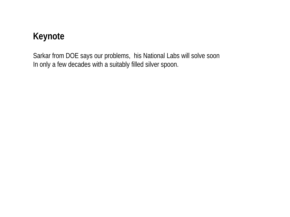## **Keynote**

Sarkar from DOE says our problems, his National Labs will solve soon In only a few decades with a suitably filled silver spoon.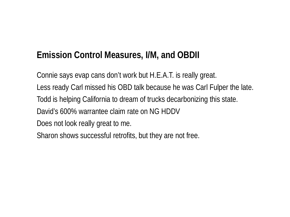# **Emission Control Measures, I/M, and OBDII**

Connie says evap cans don't work but H.E.A.T. is really great. Less ready Carl missed his OBD talk because he was Carl Fulper the late. Todd is helping California to dream of trucks decarbonizing this state. David's 600% warrantee claim rate on NG HDDV Does not look really great to me. Sharon shows successful retrofits, but they are not free.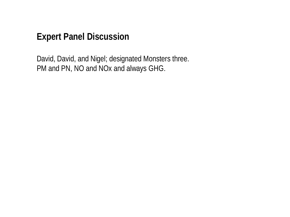#### **Expert Panel Discussion**

David, David, and Nigel; designated Monsters three. PM and PN, NO and NOx and always GHG.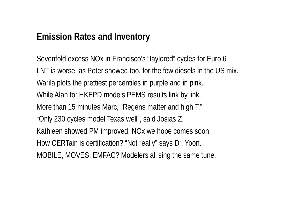#### **Emission Rates and Inventory**

Sevenfold excess NOx in Francisco's "taylored" cycles for Euro 6 LNT is worse, as Peter showed too, for the few diesels in the US mix. Warila plots the prettiest percentiles in purple and in pink. While Alan for HKEPD models PEMS results link by link. More than 15 minutes Marc, "Regens matter and high T." "Only 230 cycles model Texas well", said Josias Z. Kathleen showed PM improved. NOx we hope comes soon. How CERTain is certification? "Not really" says Dr. Yoon. MOBILE, MOVES, EMFAC? Modelers all sing the same tune.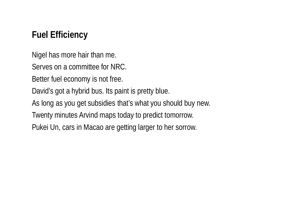## **Fuel Efficiency**

Nigel has more hair than me.

Serves on a committee for NRC.

Better fuel economy is not free.

David's got a hybrid bus. Its paint is pretty blue.

As long as you get subsidies that's what you should buy new.

Twenty minutes Arvind maps today to predict tomorrow.

Pukei Un, cars in Macao are getting larger to her sorrow.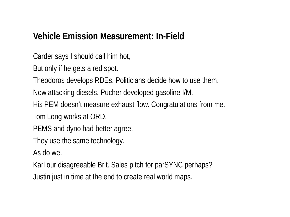#### **Vehicle Emission Measurement: In-Field**

Carder says I should call him hot,

But only if he gets a red spot.

Theodoros develops RDEs. Politicians decide how to use them.

Now attacking diesels, Pucher developed gasoline I/M.

His PEM doesn't measure exhaust flow. Congratulations from me.

Tom Long works at ORD.

PEMS and dyno had better agree.

They use the same technology.

As do we.

Karl our disagreeable Brit. Sales pitch for parSYNC perhaps?

Justin just in time at the end to create real world maps.